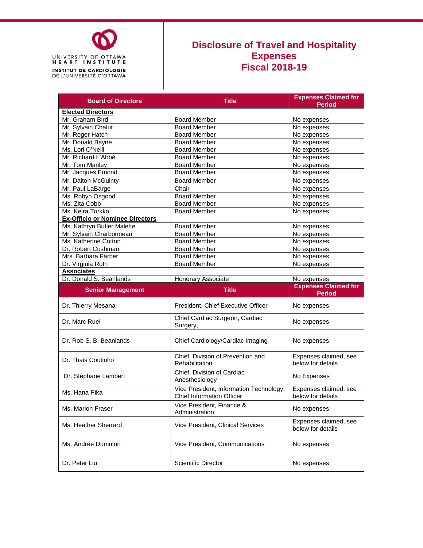

## **Disclosure of Travel and Hospitality Expenses Fiscal 2018-19**

| <b>Board of Directors</b>              | <b>Title</b>                                                                | <b>Expenses Claimed for</b>                |
|----------------------------------------|-----------------------------------------------------------------------------|--------------------------------------------|
|                                        |                                                                             | <b>Period</b>                              |
| <b>Elected Directors</b>               |                                                                             |                                            |
| Mr. Graham Bird                        | <b>Board Member</b>                                                         | No expenses                                |
| Mr. Sylvain Chalut                     | <b>Board Member</b>                                                         | No expenses                                |
| Mr. Roger Hatch                        | <b>Board Member</b>                                                         | No expenses                                |
| Mr. Donald Bayne                       | <b>Board Member</b>                                                         | No expenses                                |
| Ms. Lori O'Neill                       | <b>Board Member</b>                                                         | No expenses                                |
| Mr. Richard L'Abbé                     | <b>Board Member</b>                                                         | No expenses                                |
| Mr. Tom Manley                         | <b>Board Member</b>                                                         | No expenses                                |
| Mr. Jacques Emond                      | <b>Board Member</b>                                                         | No expenses                                |
| Mr. Dalton McGuinty                    | <b>Board Member</b>                                                         | No expenses                                |
| Mr. Paul LaBarge                       | Chair                                                                       | No expenses                                |
| Ms. Robyn Osgood                       | <b>Board Member</b>                                                         | No expenses                                |
| Ms. Zita Cobb                          | <b>Board Member</b>                                                         | No expenses                                |
| Ms. Keira Torkko                       | <b>Board Member</b>                                                         | No expenses                                |
| <b>Ex-Officio or Nominee Directors</b> |                                                                             |                                            |
| Ms. Kathryn Butler Malette             | <b>Board Member</b>                                                         | No expenses                                |
| Mr. Sylvain Charbonneau                | <b>Board Member</b>                                                         | No expenses                                |
| Ms. Katherine Cotton                   | <b>Board Member</b>                                                         | No expenses                                |
| Dr. Robert Cushman                     | <b>Board Member</b>                                                         | No expenses                                |
| Mrs. Barbara Farber                    | <b>Board Member</b>                                                         | No expenses                                |
| Dr. Virginia Roth                      | <b>Board Member</b>                                                         | No expenses                                |
| <b>Associates</b>                      |                                                                             |                                            |
| Dr. Donald S. Beanlands                | Honorary Associate                                                          | No expenses                                |
|                                        |                                                                             |                                            |
|                                        | <b>Title</b>                                                                | <b>Expenses Claimed for</b>                |
| <b>Senior Management</b>               |                                                                             | <b>Period</b>                              |
| Dr. Thierry Mesana                     | President, Chief Executive Officer                                          | No expenses                                |
| Dr. Marc Ruel                          | Chief Cardiac Surgeon, Cardiac<br>Surgery,                                  | No expenses                                |
| Dr. Rob S. B. Beanlands                | Chief Cardiology/Cardiac Imaging                                            | No expenses                                |
| Dr. Thais Coutinho                     | Chief, Division of Prevention and<br>Rehabilitation                         | Expenses claimed, see<br>below for details |
| Dr. Stèphane Lambert                   | Chief, Division of Cardiac<br>Anesthesiology                                | No Expenses                                |
| Ms. Hana Pika                          | Vice President, Information Technology,<br><b>Chief Information Officer</b> | Expenses claimed, see<br>below for details |
| Ms. Marion Fraser                      | Vice President, Finance &<br>Administration                                 | No expenses                                |
| Ms. Heather Sherrard                   | Vice President, Clinical Services                                           | Expenses claimed, see<br>below for details |
| Ms. Andrée Dumulon                     | Vice President, Communications                                              | No expenses                                |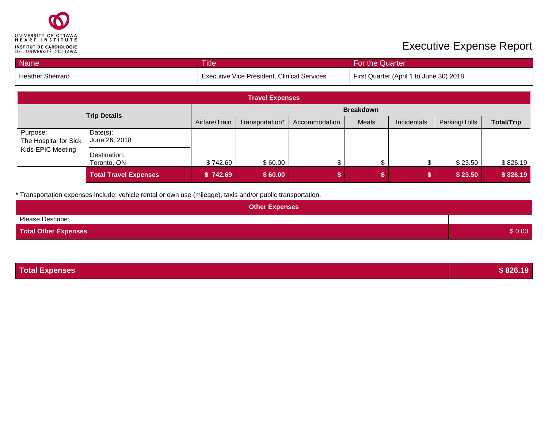

## **Executive Expense Report**

| <b>Name</b>      | <b>Title</b>                                       | <b>For the Quarter</b>                  |
|------------------|----------------------------------------------------|-----------------------------------------|
| Heather Sherrard | <b>Executive Vice President, Clinical Services</b> | First Quarter (April 1 to June 30) 2018 |

|                                   |                              |                  | <b>Travel Expenses</b> |               |              |             |               |                   |
|-----------------------------------|------------------------------|------------------|------------------------|---------------|--------------|-------------|---------------|-------------------|
| <b>Trip Details</b>               |                              | <b>Breakdown</b> |                        |               |              |             |               |                   |
|                                   |                              | Airfare/Train    | Transportation*        | Accommodation | <b>Meals</b> | Incidentals | Parking/Tolls | <b>Total/Trip</b> |
| Purpose:<br>The Hospital for Sick | $Date(s)$ :<br>June 26, 2018 |                  |                        |               |              |             |               |                   |
| Kids EPIC Meeting                 | Destination:<br>Toronto, ON  | \$742.69         | \$60.00                |               | œ            |             | \$23.50       | \$826.19          |
|                                   | <b>Total Travel Expenses</b> | \$742.69         | \$60.00                |               |              |             | \$23.50       | \$826.19          |

\* Transportation expenses include: vehicle rental or own use (mileage), taxis and/or public transportation.

| <b>Other Expenses</b>       |        |
|-----------------------------|--------|
| Please Describe:            |        |
| <b>Total Other Expenses</b> | \$0.00 |

| <b>Total Expenses</b> | \$826.19 |
|-----------------------|----------|
|                       |          |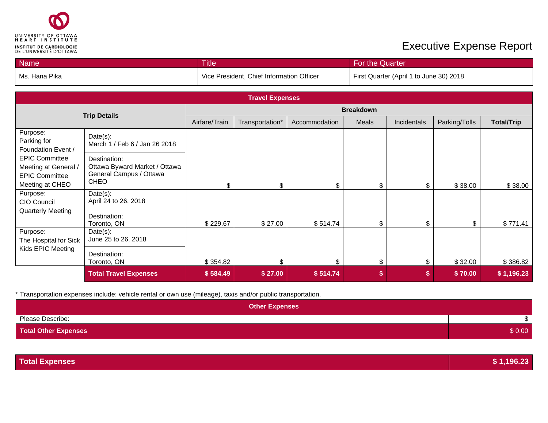

## **Executive Expense Report**

| <b>Name</b>     | <b>Title</b>                              | For the Quarter                         |
|-----------------|-------------------------------------------|-----------------------------------------|
| l Ms. Hana Pika | Vice President, Chief Information Officer | First Quarter (April 1 to June 30) 2018 |

|                                                                                           |                                                                                         |                  | <b>Travel Expenses</b> |               |       |             |               |                   |
|-------------------------------------------------------------------------------------------|-----------------------------------------------------------------------------------------|------------------|------------------------|---------------|-------|-------------|---------------|-------------------|
| <b>Trip Details</b>                                                                       |                                                                                         | <b>Breakdown</b> |                        |               |       |             |               |                   |
|                                                                                           |                                                                                         | Airfare/Train    | Transportation*        | Accommodation | Meals | Incidentals | Parking/Tolls | <b>Total/Trip</b> |
| Purpose:<br>Parking for<br>Foundation Event /                                             | Date(s):<br>March 1 / Feb 6 / Jan 26 2018                                               |                  |                        |               |       |             |               |                   |
| <b>EPIC Committee</b><br>Meeting at General /<br><b>EPIC Committee</b><br>Meeting at CHEO | Destination:<br>Ottawa Byward Market / Ottawa<br>General Campus / Ottawa<br><b>CHEO</b> | \$               | \$                     | \$            |       |             | \$38.00       | \$38.00           |
| Purpose:<br>CIO Council                                                                   | Date(s):<br>April 24 to 26, 2018                                                        |                  |                        |               |       |             |               |                   |
| <b>Quarterly Meeting</b>                                                                  | Destination:<br>Toronto, ON                                                             | \$229.67         | \$27.00                | \$514.74      |       | \$          | \$            | \$771.41          |
| Purpose:<br>The Hospital for Sick                                                         | Date(s):<br>June 25 to 26, 2018                                                         |                  |                        |               |       |             |               |                   |
| Kids EPIC Meeting                                                                         | Destination:<br>Toronto, ON                                                             | \$354.82         | \$                     | \$            | \$    | \$          | \$32.00       | \$386.82          |
|                                                                                           | <b>Total Travel Expenses</b>                                                            | \$584.49         | \$27.00                | \$514.74      | \$    | S           | \$70.00       | \$1,196.23        |

\* Transportation expenses include: vehicle rental or own use (mileage), taxis and/or public transportation.

| <b>Other Expenses</b>       |        |
|-----------------------------|--------|
| Please Describe:            |        |
| <b>Total Other Expenses</b> | \$0.00 |